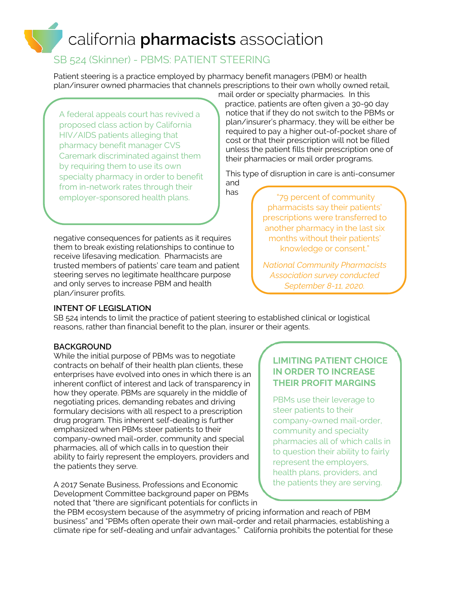# california **pharmacists** association

## SB 524 (Skinner) - PBMS: PATIENT STEERING

Patient steering is a practice employed by pharmacy benefit managers (PBM) or health plan/insurer owned pharmacies that channels prescriptions to their own wholly owned retail,

has

A federal appeals court has revived a proposed class action by California HIV/AIDS patients alleging that pharmacy benefit manager CVS Caremark discriminated against them by requiring them to use its own specialty pharmacy in order to benefit from in-network rates through their employer-sponsored health plans.

negative consequences for patients as it requires them to break existing relationships to continue to receive lifesaving medication. Pharmacists are trusted members of patients' care team and patient steering serves no legitimate healthcare purpose and only serves to increase PBM and health plan/insurer profits.

mail order or specialty pharmacies. In this practice, patients are often given a 30-90 day notice that if they do not switch to the PBMs or plan/insurer's pharmacy, they will be either be required to pay a higher out-of-pocket share of cost or that their prescription will not be filled unless the patient fills their prescription one of their pharmacies or mail order programs.

This type of disruption in care is anti-consumer and

> "79 percent of community pharmacists say their patients' prescriptions were transferred to another pharmacy in the last six months without their patients' knowledge or consent."

> *National Community Pharmacists Association survey conducted September 8-11, 2020.*

#### **INTENT OF LEGISLATION**

SB 524 intends to limit the practice of patient steering to established clinical or logistical reasons, rather than financial benefit to the plan, insurer or their agents.

#### **BACKGROUND**

Ĭ

While the initial purpose of PBMs was to negotiate contracts on behalf of their health plan clients, these enterprises have evolved into ones in which there is an inherent conflict of interest and lack of transparency in how they operate. PBMs are squarely in the middle of negotiating prices, demanding rebates and driving formulary decisions with all respect to a prescription drug program. This inherent self-dealing is further emphasized when PBMs steer patients to their company-owned mail-order, community and special pharmacies, all of which calls in to question their ability to fairly represent the employers, providers and the patients they serve.

A 2017 Senate Business, Professions and Economic Development Committee background paper on PBMs noted that "there are significant potentials for conflicts in

### **LIMITING PATIENT CHOICE IN ORDER TO INCREASE THEIR PROFIT MARGINS**

PBMs use their leverage to steer patients to their company-owned mail-order, community and specialty pharmacies all of which calls in to question their ability to fairly represent the employers, health plans, providers, and the patients they are serving.

the PBM ecosystem because of the asymmetry of pricing information and reach of PBM business" and "PBMs often operate their own mail-order and retail pharmacies, establishing a climate ripe for self-dealing and unfair advantages." California prohibits the potential for these